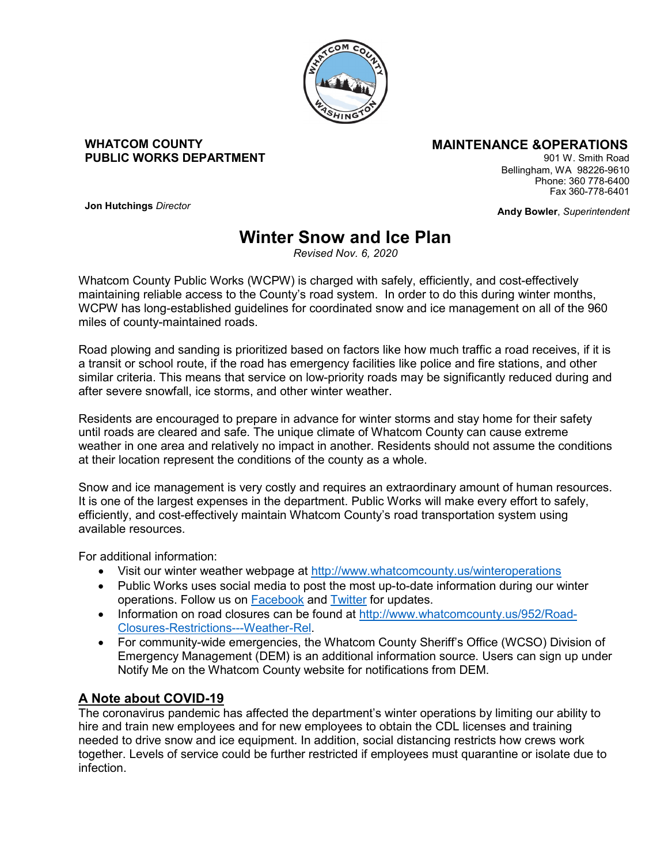

#### **WHATCOM COUNTY PUBLIC WORKS DEPARTMENT**

## **MAINTENANCE &OPERATIONS**

901 W. Smith Road Bellingham, WA 98226-9610 Phone: 360 778-6400 Fax 360-778-6401

**Andy Bowler**, *Superintendent*

**Jon Hutchings** *Director*

# **Winter Snow and Ice Plan**

*Revised Nov. 6, 2020*

Whatcom County Public Works (WCPW) is charged with safely, efficiently, and cost-effectively maintaining reliable access to the County's road system. In order to do this during winter months, WCPW has long-established guidelines for coordinated snow and ice management on all of the 960 miles of county-maintained roads.

Road plowing and sanding is prioritized based on factors like how much traffic a road receives, if it is a transit or school route, if the road has emergency facilities like police and fire stations, and other similar criteria. This means that service on low-priority roads may be significantly reduced during and after severe snowfall, ice storms, and other winter weather.

Residents are encouraged to prepare in advance for winter storms and stay home for their safety until roads are cleared and safe. The unique climate of Whatcom County can cause extreme weather in one area and relatively no impact in another. Residents should not assume the conditions at their location represent the conditions of the county as a whole.

Snow and ice management is very costly and requires an extraordinary amount of human resources. It is one of the largest expenses in the department. Public Works will make every effort to safely, efficiently, and cost-effectively maintain Whatcom County's road transportation system using available resources.

For additional information:

- Visit our winter weather webpage at <http://www.whatcomcounty.us/winteroperations>
- Public Works uses social media to post the most up-to-date information during our winter operations. Follow us on **Facebook** and **Twitter** for updates.
- Information on road closures can be found at [http://www.whatcomcounty.us/952/Road-](http://www.whatcomcounty.us/952/Road-Closures-Restrictions---Weather-Rel)[Closures-Restrictions---Weather-Rel.](http://www.whatcomcounty.us/952/Road-Closures-Restrictions---Weather-Rel)
- For community-wide emergencies, the Whatcom County Sheriff's Office (WCSO) Division of Emergency Management (DEM) is an additional information source. Users can sign up under Notify Me on the Whatcom County website for notifications from DEM.

## **A Note about COVID-19**

The coronavirus pandemic has affected the department's winter operations by limiting our ability to hire and train new employees and for new employees to obtain the CDL licenses and training needed to drive snow and ice equipment. In addition, social distancing restricts how crews work together. Levels of service could be further restricted if employees must quarantine or isolate due to infection.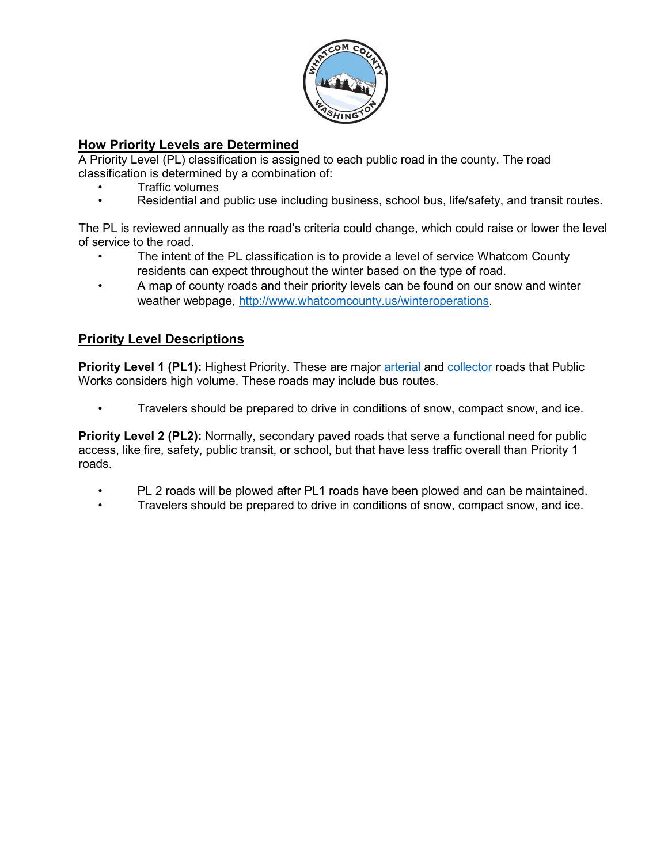

## **How Priority Levels are Determined**

A Priority Level (PL) classification is assigned to each public road in the county. The road classification is determined by a combination of:

- Traffic volumes
- Residential and public use including business, school bus, life/safety, and transit routes.

The PL is reviewed annually as the road's criteria could change, which could raise or lower the level of service to the road.

- The intent of the PL classification is to provide a level of service Whatcom County residents can expect throughout the winter based on the type of road.
- A map of county roads and their priority levels can be found on our snow and winter weather webpage, [http://www.whatcomcounty.us/winteroperations.](http://www.whatcomcounty.us/winteroperations)

## **Priority Level Descriptions**

**Priority Level 1 (PL1):** Highest Priority. These are major [arterial](https://en.wikipedia.org/wiki/Arterial_road) and [collector](https://en.wikipedia.org/wiki/Collector_road) roads that Public Works considers high volume. These roads may include bus routes.

• Travelers should be prepared to drive in conditions of snow, compact snow, and ice.

**Priority Level 2 (PL2):** Normally, secondary paved roads that serve a functional need for public access, like fire, safety, public transit, or school, but that have less traffic overall than Priority 1 roads.

- PL 2 roads will be plowed after PL1 roads have been plowed and can be maintained.
- Travelers should be prepared to drive in conditions of snow, compact snow, and ice.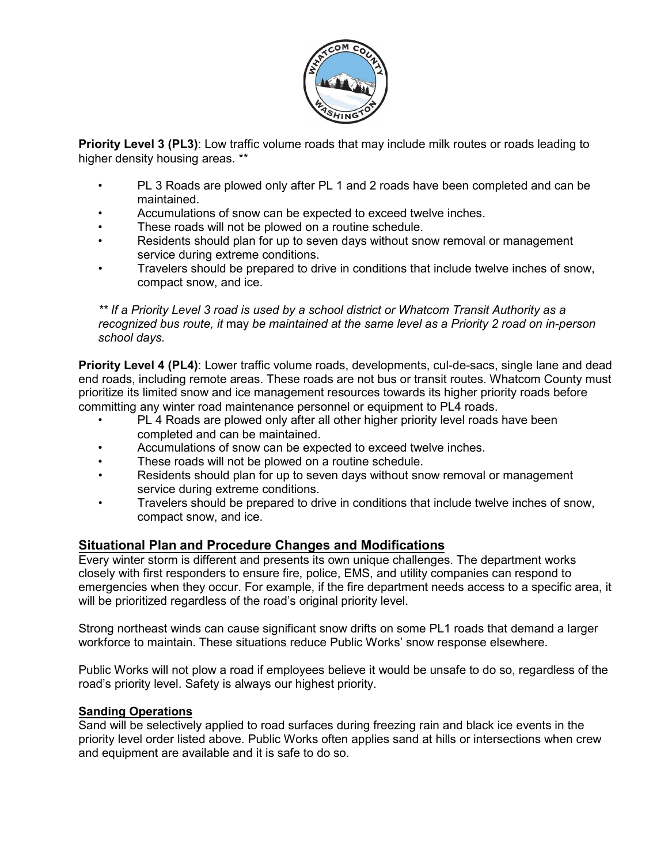

**Priority Level 3 (PL3)**: Low traffic volume roads that may include milk routes or roads leading to higher density housing areas. \*\*

- PL 3 Roads are plowed only after PL 1 and 2 roads have been completed and can be maintained.
- Accumulations of snow can be expected to exceed twelve inches.
- These roads will not be plowed on a routine schedule.
- Residents should plan for up to seven days without snow removal or management service during extreme conditions.
- Travelers should be prepared to drive in conditions that include twelve inches of snow, compact snow, and ice.

*\*\* If a Priority Level 3 road is used by a school district or Whatcom Transit Authority as a recognized bus route, it* may *be maintained at the same level as a Priority 2 road on in-person school days.* 

**Priority Level 4 (PL4)**: Lower traffic volume roads, developments, cul-de-sacs, single lane and dead end roads, including remote areas. These roads are not bus or transit routes. Whatcom County must prioritize its limited snow and ice management resources towards its higher priority roads before committing any winter road maintenance personnel or equipment to PL4 roads.

- PL 4 Roads are plowed only after all other higher priority level roads have been completed and can be maintained.
- Accumulations of snow can be expected to exceed twelve inches.
- These roads will not be plowed on a routine schedule.
- Residents should plan for up to seven days without snow removal or management service during extreme conditions.
- Travelers should be prepared to drive in conditions that include twelve inches of snow, compact snow, and ice.

## **Situational Plan and Procedure Changes and Modifications**

Every winter storm is different and presents its own unique challenges. The department works closely with first responders to ensure fire, police, EMS, and utility companies can respond to emergencies when they occur. For example, if the fire department needs access to a specific area, it will be prioritized regardless of the road's original priority level.

Strong northeast winds can cause significant snow drifts on some PL1 roads that demand a larger workforce to maintain. These situations reduce Public Works' snow response elsewhere.

Public Works will not plow a road if employees believe it would be unsafe to do so, regardless of the road's priority level. Safety is always our highest priority.

#### **Sanding Operations**

Sand will be selectively applied to road surfaces during freezing rain and black ice events in the priority level order listed above. Public Works often applies sand at hills or intersections when crew and equipment are available and it is safe to do so.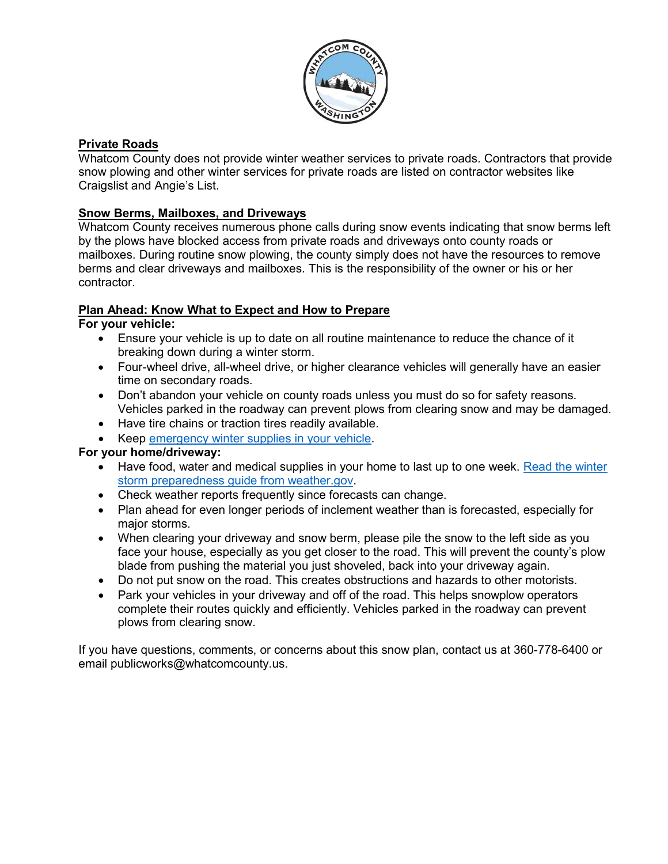

## **Private Roads**

Whatcom County does not provide winter weather services to private roads. Contractors that provide snow plowing and other winter services for private roads are listed on contractor websites like Craigslist and Angie's List.

## **Snow Berms, Mailboxes, and Driveways**

Whatcom County receives numerous phone calls during snow events indicating that snow berms left by the plows have blocked access from private roads and driveways onto county roads or mailboxes. During routine snow plowing, the county simply does not have the resources to remove berms and clear driveways and mailboxes. This is the responsibility of the owner or his or her contractor.

## **Plan Ahead: Know What to Expect and How to Prepare**

## **For your vehicle:**

- Ensure your vehicle is up to date on all routine maintenance to reduce the chance of it breaking down during a winter storm.
- Four-wheel drive, all-wheel drive, or higher clearance vehicles will generally have an easier time on secondary roads.
- Don't abandon your vehicle on county roads unless you must do so for safety reasons. Vehicles parked in the roadway can prevent plows from clearing snow and may be damaged.
- Have tire chains or traction tires readily available.
- Keep [emergency winter supplies in your vehicle.](https://www.wsdot.com/winter/emergency-kit.htm)

## **For your home/driveway:**

- Have food, water and medical supplies in your home to last up to one week. [Read the winter](https://www.weather.gov/media/safety/Winter_Storms2008.pdf) [storm preparedness guide from weather.gov.](https://www.weather.gov/media/safety/Winter_Storms2008.pdf)
- Check weather reports frequently since forecasts can change.
- Plan ahead for even longer periods of inclement weather than is forecasted, especially for major storms.
- When clearing your driveway and snow berm, please pile the snow to the left side as you face your house, especially as you get closer to the road. This will prevent the county's plow blade from pushing the material you just shoveled, back into your driveway again.
- Do not put snow on the road. This creates obstructions and hazards to other motorists.
- Park your vehicles in your driveway and off of the road. This helps snowplow operators complete their routes quickly and efficiently. Vehicles parked in the roadway can prevent plows from clearing snow.

If you have questions, comments, or concerns about this snow plan, contact us at 360-778-6400 or email publicworks@whatcomcounty.us.